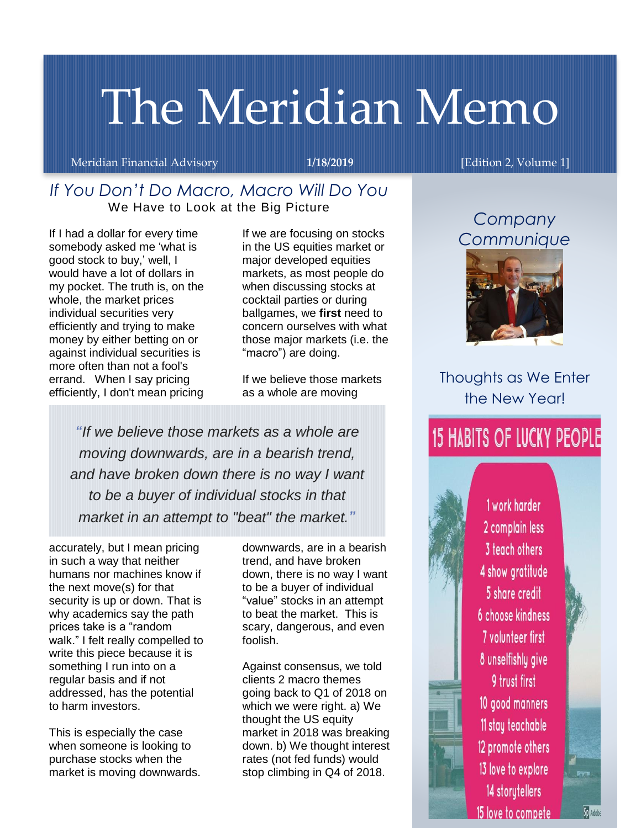# The Meridian Memo

Meridian Financial Advisory **1/18/2019 118/2019** [Edition 2, Volume 1]

## *If You Don't Do Macro, Macro Will Do You* We Have to Look at the Big Picture

If I had a dollar for every time somebody asked me 'what is good stock to buy,' well, I would have a lot of dollars in my pocket. The truth is, on the whole, the market prices individual securities very efficiently and trying to make money by either betting on or against individual securities is more often than not a fool's errand. When I say pricing efficiently, I don't mean pricing

If we are focusing on stocks in the US equities market or major developed equities markets, as most people do when discussing stocks at cocktail parties or during ballgames, we **first** need to concern ourselves with what those major markets (i.e. the "macro") are doing.

If we believe those markets as a whole are moving

*"If we believe those markets as a whole are moving downwards, are in a bearish trend, and have broken down there is no way I want to be a buyer of individual stocks in that market in an attempt to "beat" the market."*

accurately, but I mean pricing in such a way that neither humans nor machines know if the next move(s) for that security is up or down. That is why academics say the path prices take is a "random walk." I felt really compelled to write this piece because it is something I run into on a regular basis and if not addressed, has the potential to harm investors.

This is especially the case when someone is looking to purchase stocks when the market is moving downwards.

downwards, are in a bearish trend, and have broken down, there is no way I want to be a buyer of individual "value" stocks in an attempt to beat the market. This is scary, dangerous, and even foolish.

Against consensus, we told clients 2 macro themes going back to Q1 of 2018 on which we were right. a) We thought the US equity market in 2018 was breaking down. b) We thought interest rates (not fed funds) would stop climbing in Q4 of 2018.

## *Company Communique*



Thoughts as We Enter the New Year!

## **15 HABITS OF LUCKY PEOPLE**

1 work harder 2 complain less 3 teach others 4 show gratitude 5 share credit 6 choose kindness 7 volunteer first 8 unselfishly give 9 trust first 10 good manners 11 stay teachable 12 promote others 13 love to explore 14 storytellers 15 love to compete

Sp Adobe